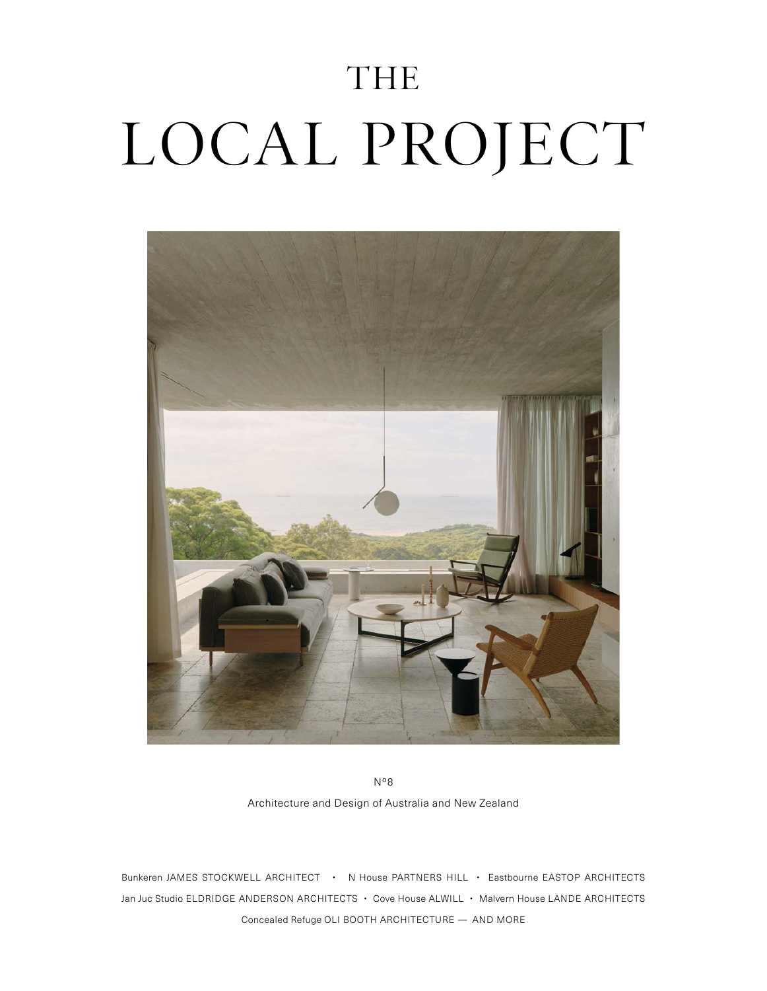## THE LOCAL PROJECT



No8 Architecture and Design of Australia and New Zealand

Bunkeren JAMES STOCKWELL ARCHITECT • N House PARTNERS HILL • Eastbourne EASTOP ARCHITECTS Jan Juc Studio ELDRIDGE ANDERSON ARCHITECTS • Cove House ALWILL • Malvern House LANDE ARCHITECTS Concealed Refuge OLI BOOTH ARCHITECTURE — AND MORE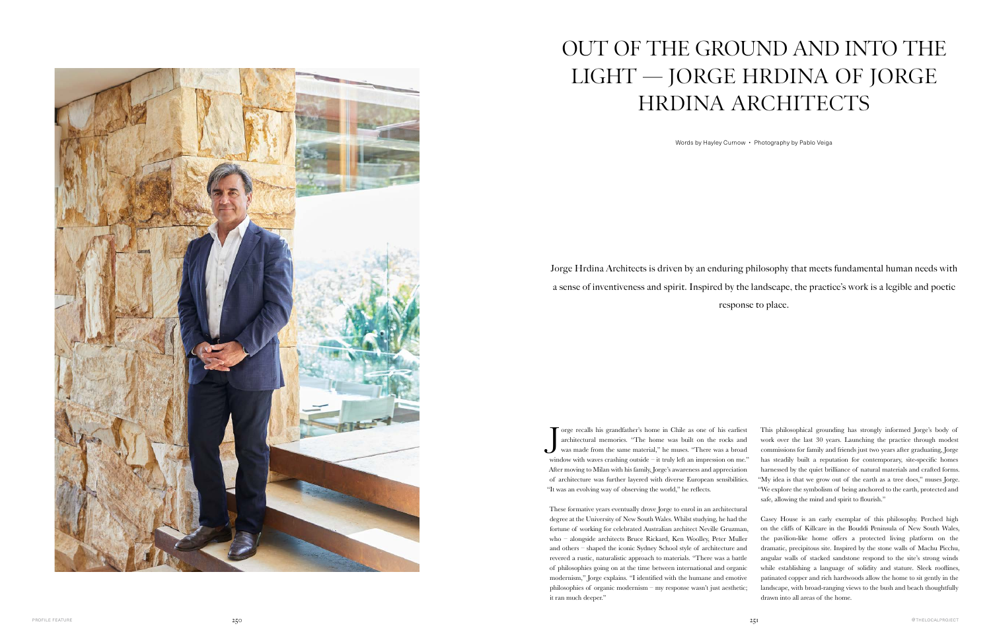The same in Chile as one of his earliest architectural memories. "The home was built on the rocks and was made from the same material," he muses. "There was a broad orge recalls his grandfather's home in Chile as one of his earliest architectural memories. "The home was built on the rocks and window with waves crashing outside – it truly left an impression on me." After moving to Milan with his family, Jorge's awareness and appreciation of architecture was further layered with diverse European sensibilities. "It was an evolving way of observing the world," he reflects.

These formative years eventually drove Jorge to enrol in an architectural degree at the University of New South Wales. Whilst studying, he had the fortune of working for celebrated Australian architect Neville Gruzman, who – alongside architects Bruce Rickard, Ken Woolley, Peter Muller and others – shaped the iconic Sydney School style of architecture and revered a rustic, naturalistic approach to materials. "There was a battle of philosophies going on at the time between international and organic modernism," Jorge explains. "I identified with the humane and emotive philosophies of organic modernism – my response wasn't just aesthetic; it ran much deeper."

This philosophical grounding has strongly informed Jorge's body of work over the last 30 years. Launching the practice through modest commissions for family and friends just two years after graduating, Jorge has steadily built a reputation for contemporary, site-specific homes harnessed by the quiet brilliance of natural materials and crafted forms. "My idea is that we grow out of the earth as a tree does," muses Jorge. "We explore the symbolism of being anchored to the earth, protected and safe, allowing the mind and spirit to flourish."

Casey House is an early exemplar of this philosophy. Perched high on the cliffs of Killcare in the Bouddi Peninsula of New South Wales, the pavilion-like home offers a protected living platform on the dramatic, precipitous site. Inspired by the stone walls of Machu Picchu, angular walls of stacked sandstone respond to the site's strong winds while establishing a language of solidity and stature. Sleek rooflines, patinated copper and rich hardwoods allow the home to sit gently in the landscape, with broad-ranging views to the bush and beach thoughtfully drawn into all areas of the home.



## OUT OF THE GROUND AND INTO THE LIGHT — JORGE HRDINA OF JORGE HRDINA ARCHITECTS

Words by Hayley Curnow • Photography by Pablo Veiga

Jorge Hrdina Architects is driven by an enduring philosophy that meets fundamental human needs with a sense of inventiveness and spirit. Inspired by the landscape, the practice's work is a legible and poetic response to place.